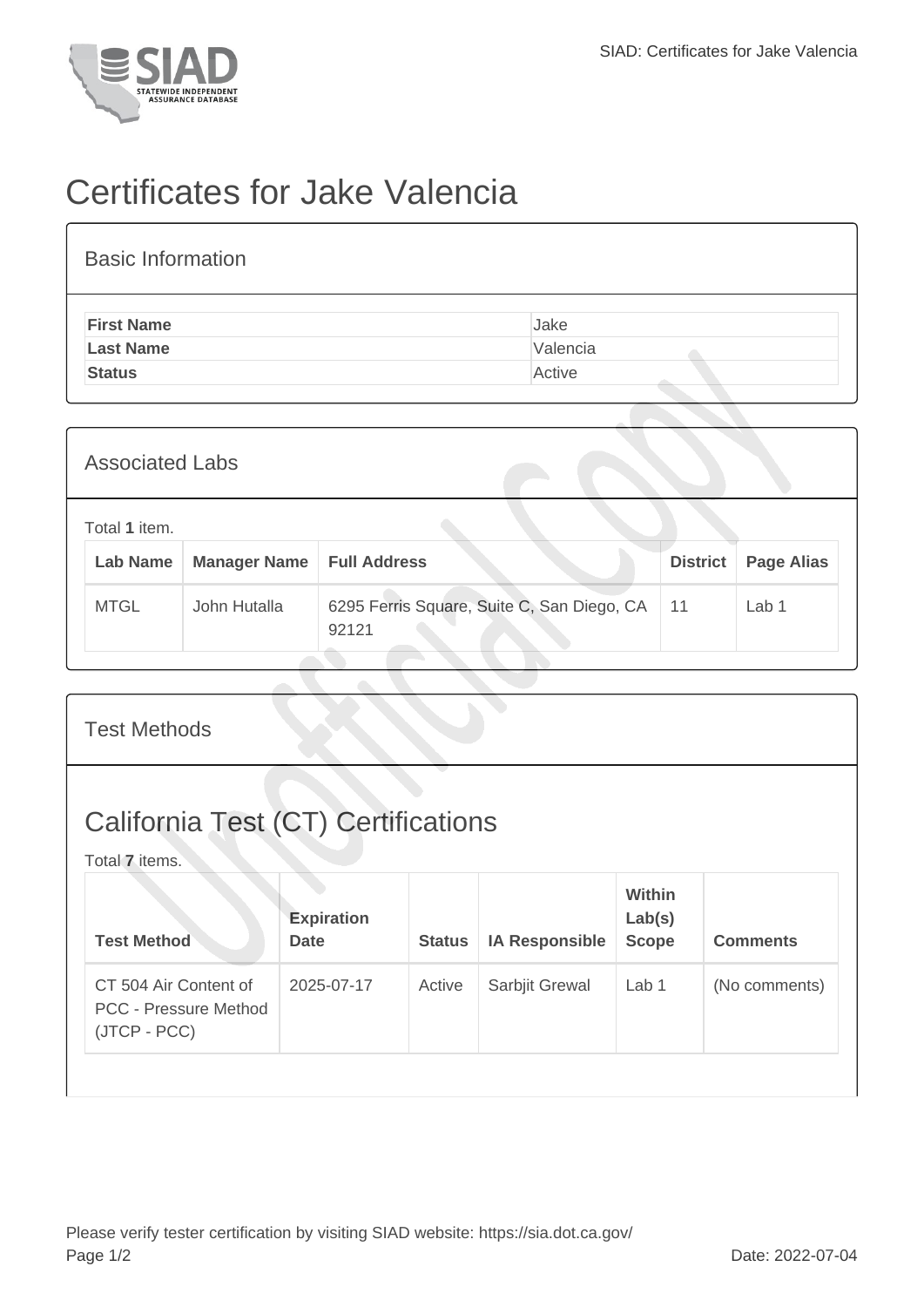

## Certificates for Jake Valencia

| <b>Basic Information</b> |          |  |  |  |  |  |
|--------------------------|----------|--|--|--|--|--|
| <b>First Name</b>        | Jake     |  |  |  |  |  |
| <b>Last Name</b>         | Valencia |  |  |  |  |  |
| <b>Status</b>            | Active   |  |  |  |  |  |

| <b>Associated Labs</b> |                                  |                     |                                                     |                 |                   |  |
|------------------------|----------------------------------|---------------------|-----------------------------------------------------|-----------------|-------------------|--|
|                        | Total 1 item.<br><b>Lab Name</b> | <b>Manager Name</b> | <b>Full Address</b>                                 | <b>District</b> | <b>Page Alias</b> |  |
|                        | <b>MTGL</b>                      | John Hutalla        | 6295 Ferris Square, Suite C, San Diego, CA<br>92121 | 11              | Lab 1             |  |

| <b>Test Methods</b>                                                   |                                  |               |                       |                                  |                 |  |
|-----------------------------------------------------------------------|----------------------------------|---------------|-----------------------|----------------------------------|-----------------|--|
| <b>California Test (CT) Certifications</b><br>Total 7 items.          |                                  |               |                       |                                  |                 |  |
| <b>Test Method</b>                                                    | <b>Expiration</b><br><b>Date</b> | <b>Status</b> | <b>IA Responsible</b> | Within<br>Lab(s)<br><b>Scope</b> | <b>Comments</b> |  |
| CT 504 Air Content of<br><b>PCC - Pressure Method</b><br>(JTCP - PCC) | 2025-07-17                       | Active        | Sarbjit Grewal        | Lab 1                            | (No comments)   |  |
|                                                                       |                                  |               |                       |                                  |                 |  |